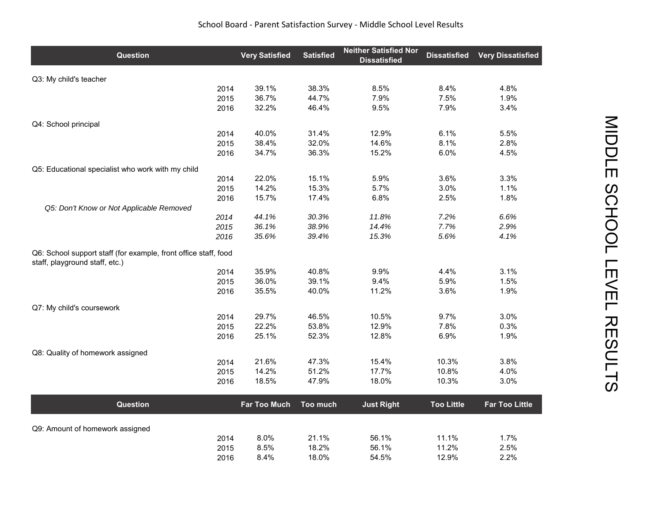## School Board ‐ Parent Satisfaction Survey ‐ Middle School Level Results

| <b>Question</b>                                                                                   | <b>Very Satisfied</b> | <b>Satisfied</b> | <b>Neither Satisfied Nor</b><br><b>Dissatisfied</b> | <b>Dissatisfied</b> | <b>Very Dissatisfied</b> |
|---------------------------------------------------------------------------------------------------|-----------------------|------------------|-----------------------------------------------------|---------------------|--------------------------|
| Q3: My child's teacher                                                                            |                       |                  |                                                     |                     |                          |
| 2014                                                                                              | 39.1%                 | 38.3%            | 8.5%                                                | 8.4%                | 4.8%                     |
| 2015                                                                                              | 36.7%                 | 44.7%            | 7.9%                                                | 7.5%                | 1.9%                     |
| 2016                                                                                              | 32.2%                 | 46.4%            | 9.5%                                                | 7.9%                | 3.4%                     |
| Q4: School principal                                                                              |                       |                  |                                                     |                     |                          |
| 2014                                                                                              | 40.0%                 | 31.4%            | 12.9%                                               | 6.1%                | 5.5%                     |
| 2015                                                                                              | 38.4%                 | 32.0%            | 14.6%                                               | 8.1%                | 2.8%                     |
| 2016                                                                                              | 34.7%                 | 36.3%            | 15.2%                                               | 6.0%                | 4.5%                     |
| Q5: Educational specialist who work with my child                                                 |                       |                  |                                                     |                     |                          |
| 2014                                                                                              | 22.0%                 | 15.1%            | 5.9%                                                | 3.6%                | 3.3%                     |
| 2015                                                                                              | 14.2%                 | 15.3%            | 5.7%                                                | 3.0%                | 1.1%                     |
| 2016                                                                                              | 15.7%                 | 17.4%            | 6.8%                                                | 2.5%                | 1.8%                     |
| Q5: Don't Know or Not Applicable Removed<br>2014                                                  | 44.1%                 | 30.3%            | 11.8%                                               | 7.2%                | 6.6%                     |
| 2015                                                                                              | 36.1%                 | 38.9%            | 14.4%                                               | 7.7%                | 2.9%                     |
| 2016                                                                                              | 35.6%                 | 39.4%            | 15.3%                                               | 5.6%                | 4.1%                     |
| Q6: School support staff (for example, front office staff, food<br>staff, playground staff, etc.) |                       |                  |                                                     |                     |                          |
| 2014                                                                                              | 35.9%                 | 40.8%            | 9.9%                                                | 4.4%                | 3.1%                     |
| 2015                                                                                              | 36.0%                 | 39.1%            | 9.4%                                                | 5.9%                | 1.5%                     |
| 2016                                                                                              | 35.5%                 | 40.0%            | 11.2%                                               | 3.6%                | 1.9%                     |
| Q7: My child's coursework                                                                         |                       |                  |                                                     |                     |                          |
| 2014                                                                                              | 29.7%                 | 46.5%            | 10.5%                                               | 9.7%                | 3.0%                     |
| 2015                                                                                              | 22.2%                 | 53.8%            | 12.9%                                               | 7.8%                | 0.3%                     |
| 2016                                                                                              | 25.1%                 | 52.3%            | 12.8%                                               | 6.9%                | 1.9%                     |
| Q8: Quality of homework assigned                                                                  |                       |                  |                                                     |                     |                          |
| 2014                                                                                              | 21.6%                 | 47.3%            | 15.4%                                               | 10.3%               | 3.8%                     |
| 2015                                                                                              | 14.2%                 | 51.2%            | 17.7%                                               | 10.8%               | 4.0%                     |
| 2016                                                                                              | 18.5%                 | 47.9%            | 18.0%                                               | 10.3%               | 3.0%                     |
| Question                                                                                          | <b>Far Too Much</b>   | Too much         | <b>Just Right</b>                                   | <b>Too Little</b>   | <b>Far Too Little</b>    |
|                                                                                                   |                       |                  |                                                     |                     |                          |
| Q9: Amount of homework assigned<br>2014                                                           | 8.0%                  | 21.1%            | 56.1%                                               | 11.1%               | 1.7%                     |
| 2015                                                                                              | 8.5%                  | 18.2%            | 56.1%                                               | 11.2%               | 2.5%                     |
| 2016                                                                                              | 8.4%                  | 18.0%            | 54.5%                                               | 12.9%               | 2.2%                     |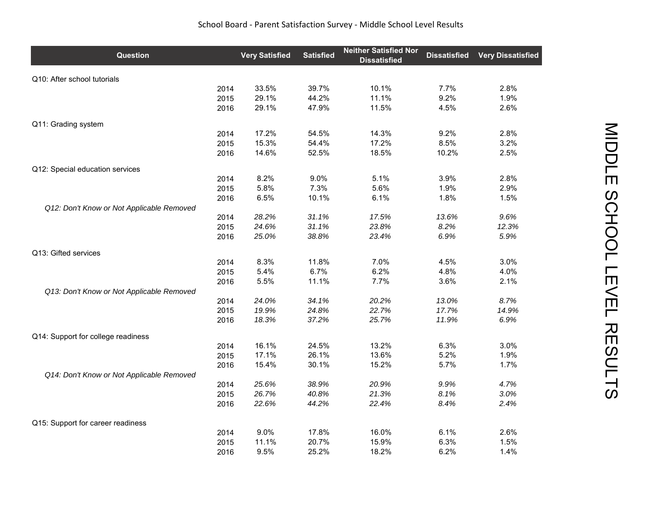## School Board ‐ Parent Satisfaction Survey ‐ Middle School Level Results

| Question                                  |      | <b>Very Satisfied</b> | <b>Satisfied</b> | <b>Neither Satisfied Nor</b><br><b>Dissatisfied</b> | <b>Dissatisfied</b> | <b>Very Dissatisfied</b> |
|-------------------------------------------|------|-----------------------|------------------|-----------------------------------------------------|---------------------|--------------------------|
| Q10: After school tutorials               |      |                       |                  |                                                     |                     |                          |
|                                           | 2014 | 33.5%                 | 39.7%            | 10.1%                                               | 7.7%                | 2.8%                     |
|                                           | 2015 | 29.1%                 | 44.2%            | 11.1%                                               | 9.2%                | 1.9%                     |
|                                           | 2016 | 29.1%                 | 47.9%            | 11.5%                                               | 4.5%                | 2.6%                     |
| Q11: Grading system                       |      |                       |                  |                                                     |                     |                          |
|                                           | 2014 | 17.2%                 | 54.5%            | 14.3%                                               | 9.2%                | 2.8%                     |
|                                           | 2015 | 15.3%                 | 54.4%            | 17.2%                                               | 8.5%                | 3.2%                     |
|                                           | 2016 | 14.6%                 | 52.5%            | 18.5%                                               | 10.2%               | 2.5%                     |
| Q12: Special education services           |      |                       |                  |                                                     |                     |                          |
|                                           | 2014 | 8.2%                  | 9.0%             | 5.1%                                                | 3.9%                | 2.8%                     |
|                                           | 2015 | 5.8%                  | 7.3%             | 5.6%                                                | 1.9%                | 2.9%                     |
|                                           | 2016 | 6.5%                  | 10.1%            | 6.1%                                                | 1.8%                | 1.5%                     |
| Q12: Don't Know or Not Applicable Removed |      |                       |                  |                                                     |                     |                          |
|                                           | 2014 | 28.2%                 | 31.1%            | 17.5%                                               | 13.6%               | 9.6%                     |
|                                           | 2015 | 24.6%                 | 31.1%            | 23.8%                                               | 8.2%                | 12.3%                    |
|                                           | 2016 | 25.0%                 | 38.8%            | 23.4%                                               | 6.9%                | 5.9%                     |
| Q13: Gifted services                      |      |                       |                  |                                                     |                     |                          |
|                                           | 2014 | 8.3%                  | 11.8%            | 7.0%                                                | 4.5%                | 3.0%                     |
|                                           | 2015 | 5.4%                  | 6.7%             | 6.2%                                                | 4.8%                | 4.0%                     |
|                                           | 2016 | 5.5%                  | 11.1%            | 7.7%                                                | 3.6%                | 2.1%                     |
| Q13: Don't Know or Not Applicable Removed |      |                       |                  |                                                     |                     |                          |
|                                           | 2014 | 24.0%                 | 34.1%            | 20.2%                                               | 13.0%               | 8.7%                     |
|                                           | 2015 | 19.9%                 | 24.8%            | 22.7%                                               | 17.7%               | 14.9%                    |
|                                           | 2016 | 18.3%                 | 37.2%            | 25.7%                                               | 11.9%               | 6.9%                     |
| Q14: Support for college readiness        |      |                       |                  |                                                     |                     |                          |
|                                           | 2014 | 16.1%                 | 24.5%            | 13.2%                                               | 6.3%                | 3.0%                     |
|                                           | 2015 | 17.1%                 | 26.1%            | 13.6%                                               | 5.2%                | 1.9%                     |
|                                           | 2016 | 15.4%                 | 30.1%            | 15.2%                                               | 5.7%                | 1.7%                     |
| Q14: Don't Know or Not Applicable Removed |      |                       |                  |                                                     |                     |                          |
|                                           | 2014 | 25.6%                 | 38.9%            | 20.9%                                               | 9.9%                | 4.7%                     |
|                                           | 2015 | 26.7%                 | 40.8%            | 21.3%                                               | 8.1%                | 3.0%                     |
|                                           | 2016 | 22.6%                 | 44.2%            | 22.4%                                               | 8.4%                | 2.4%                     |
| Q15: Support for career readiness         |      |                       |                  |                                                     |                     |                          |
|                                           | 2014 | 9.0%                  | 17.8%            | 16.0%                                               | 6.1%                | 2.6%                     |
|                                           | 2015 | 11.1%                 | 20.7%            | 15.9%                                               | 6.3%                | 1.5%                     |
|                                           | 2016 | 9.5%                  | 25.2%            | 18.2%                                               | 6.2%                | 1.4%                     |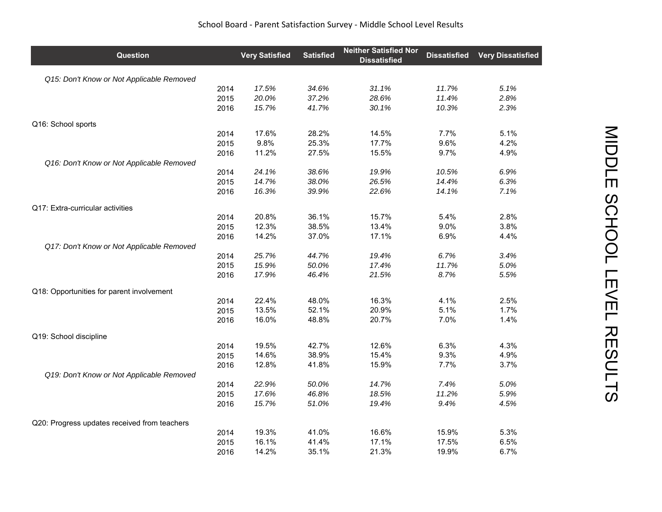| Question                                     |      | <b>Very Satisfied</b> | <b>Satisfied</b> | <b>Neither Satisfied Nor</b><br><b>Dissatisfied</b> | <b>Dissatisfied</b> | <b>Very Dissatisfied</b> |
|----------------------------------------------|------|-----------------------|------------------|-----------------------------------------------------|---------------------|--------------------------|
| Q15: Don't Know or Not Applicable Removed    |      |                       |                  |                                                     |                     |                          |
|                                              | 2014 | 17.5%                 | 34.6%            | 31.1%                                               | 11.7%               | 5.1%                     |
|                                              | 2015 | 20.0%                 | 37.2%            | 28.6%                                               | 11.4%               | 2.8%                     |
|                                              | 2016 | 15.7%                 | 41.7%            | 30.1%                                               | 10.3%               | 2.3%                     |
| Q16: School sports                           |      |                       |                  |                                                     |                     |                          |
|                                              | 2014 | 17.6%                 | 28.2%            | 14.5%                                               | 7.7%                | 5.1%                     |
|                                              | 2015 | 9.8%                  | 25.3%            | 17.7%                                               | 9.6%                | 4.2%                     |
|                                              | 2016 | 11.2%                 | 27.5%            | 15.5%                                               | 9.7%                | 4.9%                     |
| Q16: Don't Know or Not Applicable Removed    |      |                       |                  |                                                     |                     |                          |
|                                              | 2014 | 24.1%                 | 38.6%            | 19.9%                                               | 10.5%               | 6.9%                     |
|                                              | 2015 | 14.7%                 | 38.0%            | 26.5%                                               | 14.4%               | 6.3%                     |
|                                              | 2016 | 16.3%                 | 39.9%            | 22.6%                                               | 14.1%               | 7.1%                     |
| Q17: Extra-curricular activities             |      |                       |                  |                                                     |                     |                          |
|                                              | 2014 | 20.8%                 | 36.1%            | 15.7%                                               | 5.4%                | 2.8%                     |
|                                              | 2015 | 12.3%                 | 38.5%            | 13.4%                                               | 9.0%                | 3.8%                     |
|                                              | 2016 | 14.2%                 | 37.0%            | 17.1%                                               | 6.9%                | 4.4%                     |
| Q17: Don't Know or Not Applicable Removed    |      |                       |                  |                                                     |                     |                          |
|                                              | 2014 | 25.7%                 | 44.7%            | 19.4%                                               | 6.7%                | 3.4%                     |
|                                              | 2015 | 15.9%                 | 50.0%            | 17.4%                                               | 11.7%               | 5.0%                     |
|                                              | 2016 | 17.9%                 | 46.4%            | 21.5%                                               | 8.7%                | 5.5%                     |
| Q18: Opportunities for parent involvement    |      |                       |                  |                                                     |                     |                          |
|                                              | 2014 | 22.4%                 | 48.0%            | 16.3%                                               | 4.1%                | 2.5%                     |
|                                              | 2015 | 13.5%                 | 52.1%            | 20.9%                                               | 5.1%                | 1.7%                     |
|                                              | 2016 | 16.0%                 | 48.8%            | 20.7%                                               | 7.0%                | 1.4%                     |
| Q19: School discipline                       |      |                       |                  |                                                     |                     |                          |
|                                              | 2014 | 19.5%                 | 42.7%            | 12.6%                                               | 6.3%                | 4.3%                     |
|                                              | 2015 | 14.6%                 | 38.9%            | 15.4%                                               | 9.3%                | 4.9%                     |
|                                              | 2016 | 12.8%                 | 41.8%            | 15.9%                                               | 7.7%                | 3.7%                     |
| Q19: Don't Know or Not Applicable Removed    |      |                       |                  |                                                     |                     |                          |
|                                              | 2014 | 22.9%                 | 50.0%            | 14.7%                                               | 7.4%                | 5.0%                     |
|                                              | 2015 | 17.6%                 | 46.8%            | 18.5%                                               | 11.2%               | 5.9%                     |
|                                              | 2016 | 15.7%                 | 51.0%            | 19.4%                                               | 9.4%                | 4.5%                     |
| Q20: Progress updates received from teachers |      |                       |                  |                                                     |                     |                          |
|                                              | 2014 | 19.3%                 | 41.0%            | 16.6%                                               | 15.9%               | 5.3%                     |
|                                              | 2015 | 16.1%                 | 41.4%            | 17.1%                                               | 17.5%               | 6.5%                     |
|                                              | 2016 | 14.2%                 | 35.1%            | 21.3%                                               | 19.9%               | 6.7%                     |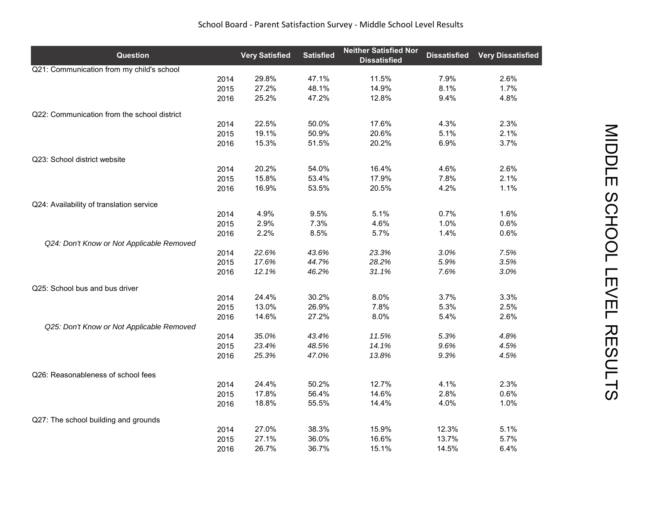| School Board - Parent Satisfaction Survey - Middle School Level Results |  |
|-------------------------------------------------------------------------|--|
|-------------------------------------------------------------------------|--|

| Question                                    |      | <b>Very Satisfied</b> | <b>Satisfied</b> | <b>Neither Satisfied Nor</b><br><b>Dissatisfied</b> | <b>Dissatisfied</b> | <b>Very Dissatisfied</b> |
|---------------------------------------------|------|-----------------------|------------------|-----------------------------------------------------|---------------------|--------------------------|
| Q21: Communication from my child's school   |      |                       |                  |                                                     |                     |                          |
|                                             | 2014 | 29.8%                 | 47.1%            | 11.5%                                               | 7.9%                | 2.6%                     |
|                                             | 2015 | 27.2%                 | 48.1%            | 14.9%                                               | 8.1%                | 1.7%                     |
|                                             | 2016 | 25.2%                 | 47.2%            | 12.8%                                               | 9.4%                | 4.8%                     |
| Q22: Communication from the school district |      |                       |                  |                                                     |                     |                          |
|                                             | 2014 | 22.5%                 | 50.0%            | 17.6%                                               | 4.3%                | 2.3%                     |
|                                             | 2015 | 19.1%                 | 50.9%            | 20.6%                                               | 5.1%                | 2.1%                     |
|                                             | 2016 | 15.3%                 | 51.5%            | 20.2%                                               | 6.9%                | 3.7%                     |
|                                             |      |                       |                  |                                                     |                     |                          |
| Q23: School district website                | 2014 | 20.2%                 | 54.0%            | 16.4%                                               | 4.6%                | 2.6%                     |
|                                             | 2015 | 15.8%                 | 53.4%            | 17.9%                                               | 7.8%                | 2.1%                     |
|                                             |      | 16.9%                 | 53.5%            | 20.5%                                               | 4.2%                | 1.1%                     |
|                                             | 2016 |                       |                  |                                                     |                     |                          |
| Q24: Availability of translation service    |      |                       |                  |                                                     |                     |                          |
|                                             | 2014 | 4.9%                  | 9.5%             | 5.1%                                                | 0.7%                | 1.6%                     |
|                                             | 2015 | 2.9%                  | 7.3%             | 4.6%                                                | 1.0%                | 0.6%                     |
|                                             | 2016 | 2.2%                  | 8.5%             | 5.7%                                                | 1.4%                | 0.6%                     |
| Q24: Don't Know or Not Applicable Removed   |      |                       |                  |                                                     |                     |                          |
|                                             | 2014 | 22.6%                 | 43.6%            | 23.3%                                               | 3.0%                | 7.5%                     |
|                                             | 2015 | 17.6%                 | 44.7%            | 28.2%                                               | 5.9%                | 3.5%                     |
|                                             | 2016 | 12.1%                 | 46.2%            | 31.1%                                               | 7.6%                | 3.0%                     |
| Q25: School bus and bus driver              |      |                       |                  |                                                     |                     |                          |
|                                             | 2014 | 24.4%                 | 30.2%            | 8.0%                                                | 3.7%                | 3.3%                     |
|                                             | 2015 | 13.0%                 | 26.9%            | 7.8%                                                | 5.3%                | 2.5%                     |
|                                             | 2016 | 14.6%                 | 27.2%            | 8.0%                                                | 5.4%                | 2.6%                     |
| Q25: Don't Know or Not Applicable Removed   |      |                       |                  |                                                     |                     |                          |
|                                             | 2014 | 35.0%                 | 43.4%            | 11.5%                                               | 5.3%                | 4.8%                     |
|                                             | 2015 | 23.4%                 | 48.5%            | 14.1%                                               | 9.6%                | 4.5%                     |
|                                             | 2016 | 25.3%                 | 47.0%            | 13.8%                                               | 9.3%                | 4.5%                     |
|                                             |      |                       |                  |                                                     |                     |                          |
| Q26: Reasonableness of school fees          | 2014 | 24.4%                 | 50.2%            | 12.7%                                               | 4.1%                | 2.3%                     |
|                                             | 2015 | 17.8%                 | 56.4%            | 14.6%                                               | 2.8%                | 0.6%                     |
|                                             |      | 18.8%                 | 55.5%            | 14.4%                                               | 4.0%                | 1.0%                     |
|                                             | 2016 |                       |                  |                                                     |                     |                          |
| Q27: The school building and grounds        |      |                       |                  |                                                     |                     |                          |
|                                             | 2014 | 27.0%                 | 38.3%            | 15.9%                                               | 12.3%               | 5.1%                     |
|                                             | 2015 | 27.1%                 | 36.0%            | 16.6%                                               | 13.7%               | 5.7%                     |
|                                             | 2016 | 26.7%                 | 36.7%            | 15.1%                                               | 14.5%               | 6.4%                     |